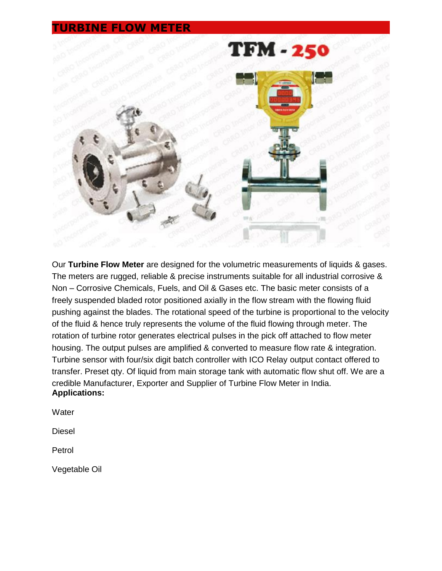## **TURBINE FLOW METER**



Our **Turbine Flow Meter** are designed for the volumetric measurements of liquids & gases. The meters are rugged, reliable & precise instruments suitable for all industrial corrosive & Non – Corrosive Chemicals, Fuels, and Oil & Gases etc. The basic meter consists of a freely suspended bladed rotor positioned axially in the flow stream with the flowing fluid pushing against the blades. The rotational speed of the turbine is proportional to the velocity of the fluid & hence truly represents the volume of the fluid flowing through meter. The rotation of turbine rotor generates electrical pulses in the pick off attached to flow meter housing. The output pulses are amplified & converted to measure flow rate & integration. Turbine sensor with four/six digit batch controller with ICO Relay output contact offered to transfer. Preset qty. Of liquid from main storage tank with automatic flow shut off. We are a credible Manufacturer, Exporter and Supplier of Turbine Flow Meter in India. **Applications:** 

**Water** 

Diesel

Petrol

Vegetable Oil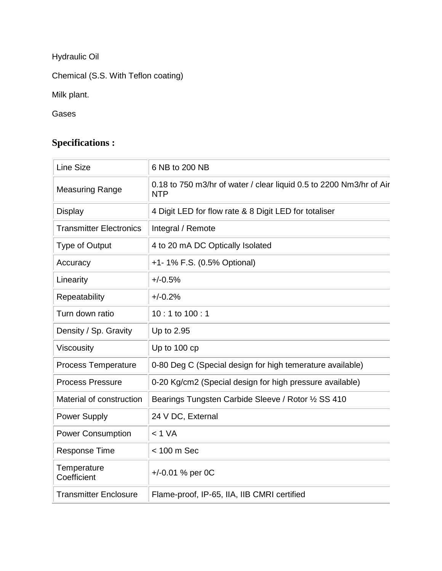Hydraulic Oil

Chemical (S.S. With Teflon coating)

Milk plant.

Gases

## **Specifications :**

| <b>Line Size</b>               | 6 NB to 200 NB                                                                    |
|--------------------------------|-----------------------------------------------------------------------------------|
| <b>Measuring Range</b>         | 0.18 to 750 m3/hr of water / clear liquid 0.5 to 2200 Nm3/hr of Air<br><b>NTP</b> |
| <b>Display</b>                 | 4 Digit LED for flow rate & 8 Digit LED for totaliser                             |
| <b>Transmitter Electronics</b> | Integral / Remote                                                                 |
| <b>Type of Output</b>          | 4 to 20 mA DC Optically Isolated                                                  |
| Accuracy                       | +1- 1% F.S. (0.5% Optional)                                                       |
| Linearity                      | $+/-0.5%$                                                                         |
| Repeatability                  | $+/-0.2%$                                                                         |
| Turn down ratio                | 10:1 to 100:1                                                                     |
| Density / Sp. Gravity          | Up to 2.95                                                                        |
| Viscousity                     | Up to 100 cp                                                                      |
| <b>Process Temperature</b>     | 0-80 Deg C (Special design for high temerature available)                         |
| <b>Process Pressure</b>        | 0-20 Kg/cm2 (Special design for high pressure available)                          |
| Material of construction       | Bearings Tungsten Carbide Sleeve / Rotor 1/2 SS 410                               |
| Power Supply                   | 24 V DC, External                                                                 |
| <b>Power Consumption</b>       | < 1 VA                                                                            |
| <b>Response Time</b>           | < 100 m Sec                                                                       |
| Temperature<br>Coefficient     | +/-0.01 % per 0C                                                                  |
| <b>Transmitter Enclosure</b>   | Flame-proof, IP-65, IIA, IIB CMRI certified                                       |